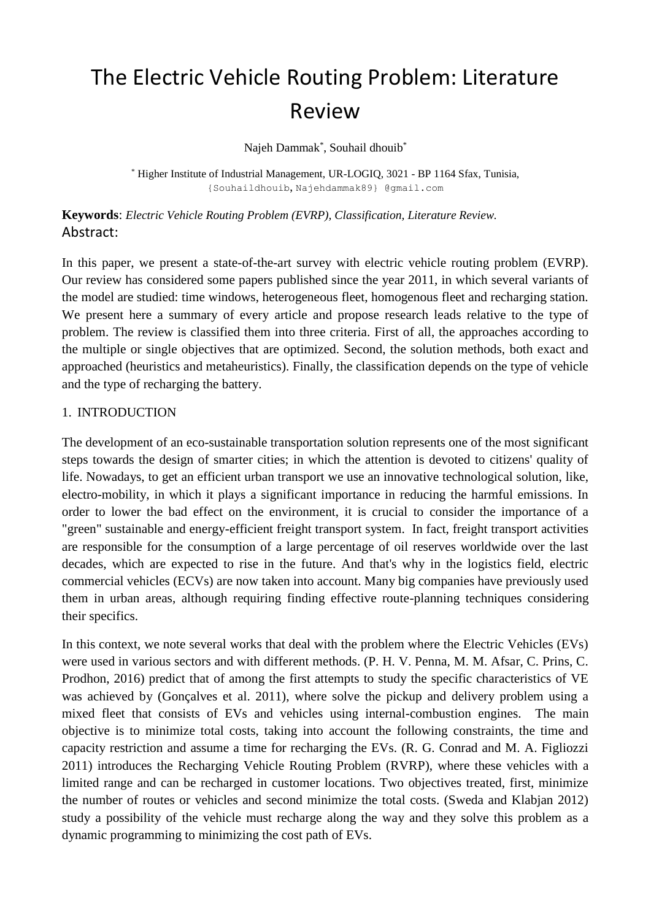# The Electric Vehicle Routing Problem: Literature Review

Najeh Dammak\* , Souhail dhouib\*

\* Higher Institute of Industrial Management, UR-LOGIQ, 3021 - BP 1164 Sfax, Tunisia, {Souhaildhouib, Najehdammak89} @gmail.com

**Keywords**: *Electric Vehicle Routing Problem (EVRP), Classification, Literature Review.* Abstract:

In this paper, we present a state-of-the-art survey with electric vehicle routing problem (EVRP). Our review has considered some papers published since the year 2011, in which several variants of the model are studied: time windows, heterogeneous fleet, homogenous fleet and recharging station. We present here a summary of every article and propose research leads relative to the type of problem. The review is classified them into three criteria. First of all, the approaches according to the multiple or single objectives that are optimized. Second, the solution methods, both exact and approached (heuristics and metaheuristics). Finally, the classification depends on the type of vehicle and the type of recharging the battery.

#### 1. INTRODUCTION

The development of an eco-sustainable transportation solution represents one of the most significant steps towards the design of smarter cities; in which the attention is devoted to citizens' quality of life. Nowadays, to get an efficient urban transport we use an innovative technological solution, like, electro-mobility, in which it plays a significant importance in reducing the harmful emissions. In order to lower the bad effect on the environment, it is crucial to consider the importance of a "green" sustainable and energy-efficient freight transport system. In fact, freight transport activities are responsible for the consumption of a large percentage of oil reserves worldwide over the last decades, which are expected to rise in the future. And that's why in the logistics field, electric commercial vehicles (ECVs) are now taken into account. Many big companies have previously used them in urban areas, although requiring finding effective route-planning techniques considering their specifics.

In this context, we note several works that deal with the problem where the Electric Vehicles (EVs) were used in various sectors and with different methods. (P. H. V. Penna, M. M. Afsar, C. Prins, C. Prodhon, 2016) predict that of among the first attempts to study the specific characteristics of VE was achieved by (Gonçalves et al. 2011), where solve the pickup and delivery problem using a mixed fleet that consists of EVs and vehicles using internal-combustion engines. The main objective is to minimize total costs, taking into account the following constraints, the time and capacity restriction and assume a time for recharging the EVs. (R. G. Conrad and M. A. Figliozzi 2011) introduces the Recharging Vehicle Routing Problem (RVRP), where these vehicles with a limited range and can be recharged in customer locations. Two objectives treated, first, minimize the number of routes or vehicles and second minimize the total costs. (Sweda and Klabjan 2012) study a possibility of the vehicle must recharge along the way and they solve this problem as a dynamic programming to minimizing the cost path of EVs.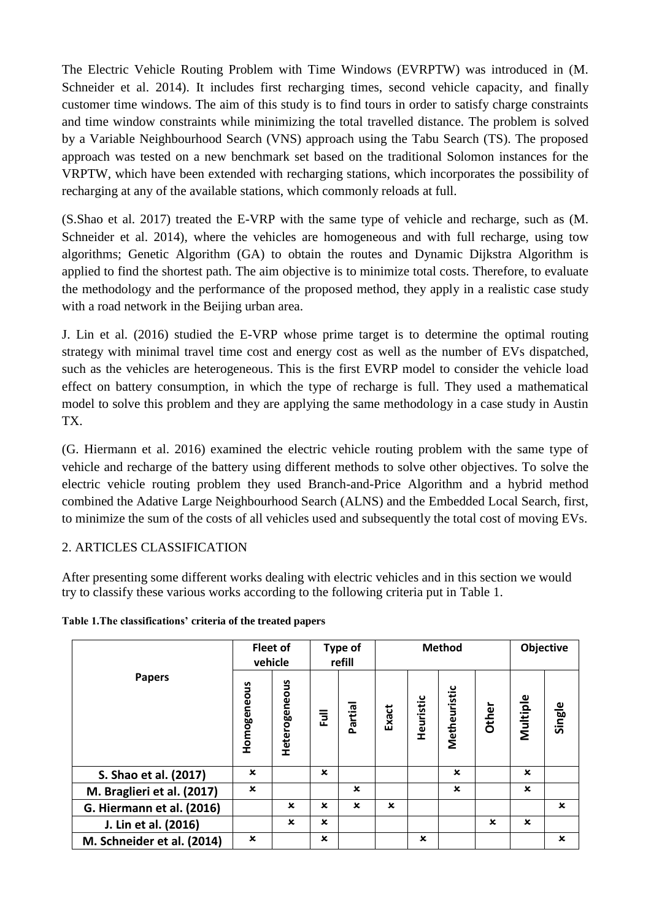The Electric Vehicle Routing Problem with Time Windows (EVRPTW) was introduced in (M. Schneider et al. 2014). It includes first recharging times, second vehicle capacity, and finally customer time windows. The aim of this study is to find tours in order to satisfy charge constraints and time window constraints while minimizing the total travelled distance. The problem is solved by a Variable Neighbourhood Search (VNS) approach using the Tabu Search (TS). The proposed approach was tested on a new benchmark set based on the traditional Solomon instances for the VRPTW, which have been extended with recharging stations, which incorporates the possibility of recharging at any of the available stations, which commonly reloads at full.

(S.Shao et al. 2017) treated the E-VRP with the same type of vehicle and recharge, such as (M. Schneider et al. 2014), where the vehicles are homogeneous and with full recharge, using tow algorithms; Genetic Algorithm (GA) to obtain the routes and Dynamic Dijkstra Algorithm is applied to find the shortest path. The aim objective is to minimize total costs. Therefore, to evaluate the methodology and the performance of the proposed method, they apply in a realistic case study with a road network in the Beijing urban area.

J. Lin et al. (2016) studied the E-VRP whose prime target is to determine the optimal routing strategy with minimal travel time cost and energy cost as well as the number of EVs dispatched, such as the vehicles are heterogeneous. This is the first EVRP model to consider the vehicle load effect on battery consumption, in which the type of recharge is full. They used a mathematical model to solve this problem and they are applying the same methodology in a case study in Austin TX.

(G. Hiermann et al. 2016) examined the electric vehicle routing problem with the same type of vehicle and recharge of the battery using different methods to solve other objectives. To solve the electric vehicle routing problem they used Branch-and-Price Algorithm and a hybrid method combined the Adative Large Neighbourhood Search (ALNS) and the Embedded Local Search, first, to minimize the sum of the costs of all vehicles used and subsequently the total cost of moving EVs.

## 2. ARTICLES CLASSIFICATION

After presenting some different works dealing with electric vehicles and in this section we would try to classify these various works according to the following criteria put in Table 1.

| <b>Papers</b>              | <b>Fleet of</b><br>vehicle |               | <b>Type of</b><br>refill |             | <b>Method</b> |             |              |             | Objective   |             |
|----------------------------|----------------------------|---------------|--------------------------|-------------|---------------|-------------|--------------|-------------|-------------|-------------|
|                            | Homogeneous                | Heterogeneous | 킃                        | Partial     | Exact         | Heuristic   | Metheuristic | Other       | Multiple    | Single      |
| S. Shao et al. (2017)      | $\mathbf x$                |               | $\mathbf x$              |             |               |             | $\mathbf x$  |             | $\mathbf x$ |             |
| M. Braglieri et al. (2017) | $\mathbf x$                |               |                          | $\mathbf x$ |               |             | $\mathbf x$  |             | $\mathbf x$ |             |
| G. Hiermann et al. (2016)  |                            | $\mathbf x$   | $\mathbf x$              | $\mathbf x$ | $\mathbf x$   |             |              |             |             | $\mathbf x$ |
| J. Lin et al. (2016)       |                            | $\mathbf x$   | $\mathbf x$              |             |               |             |              | $\mathbf x$ | $\mathbf x$ |             |
| M. Schneider et al. (2014) | $\mathbf x$                |               | $\mathbf x$              |             |               | $\mathbf x$ |              |             |             | $\mathbf x$ |

#### **Table 1.The classifications' criteria of the treated papers**